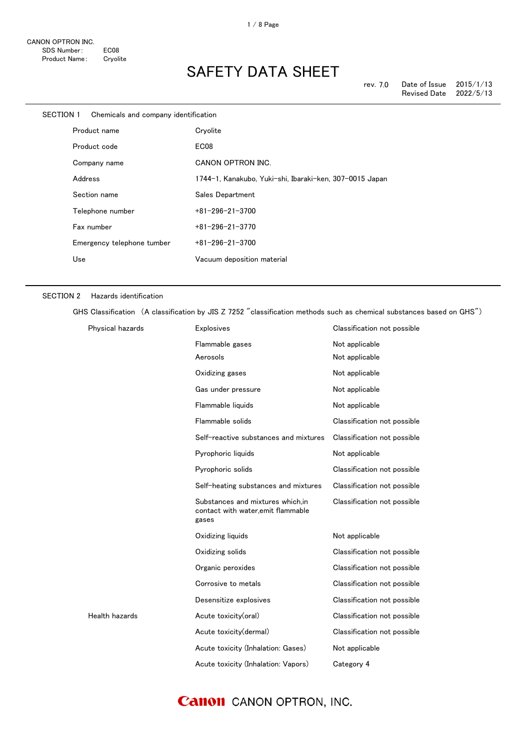| SECTION 1 | Chemicals and company identification |                                                         |
|-----------|--------------------------------------|---------------------------------------------------------|
|           | Product name                         | Cryolite                                                |
|           | Product code                         | EC08                                                    |
|           | Company name                         | <b>CANON OPTRON INC.</b>                                |
|           | Address                              | 1744-1, Kanakubo, Yuki-shi, Ibaraki-ken, 307-0015 Japan |
|           | Section name                         | Sales Department                                        |
|           | Telephone number                     | $+81 - 296 - 21 - 3700$                                 |
|           | Fax number                           | $+81 - 296 - 21 - 3770$                                 |
|           | Emergency telephone tumber           | $+81 - 296 - 21 - 3700$                                 |
|           | Use                                  | Vacuum deposition material                              |
|           |                                      |                                                         |

#### SECTION 2 Hazards identification

GHS Classification (A classification by JIS Z 7252 "classification methods such as chemical substances based on GHS")

| Physical hazards | <b>Explosives</b>                                                               | Classification not possible |
|------------------|---------------------------------------------------------------------------------|-----------------------------|
|                  | Flammable gases                                                                 | Not applicable              |
|                  | Aerosols                                                                        | Not applicable              |
|                  | Oxidizing gases                                                                 | Not applicable              |
|                  | Gas under pressure                                                              | Not applicable              |
|                  | Flammable liquids                                                               | Not applicable              |
|                  | Flammable solids                                                                | Classification not possible |
|                  | Self-reactive substances and mixtures                                           | Classification not possible |
|                  | Pyrophoric liquids                                                              | Not applicable              |
|                  | Pyrophoric solids                                                               | Classification not possible |
|                  | Self-heating substances and mixtures                                            | Classification not possible |
|                  | Substances and mixtures which.in<br>contact with water, emit flammable<br>gases | Classification not possible |
|                  | Oxidizing liquids                                                               | Not applicable              |
|                  | Oxidizing solids                                                                | Classification not possible |
|                  | Organic peroxides                                                               | Classification not possible |
|                  | Corrosive to metals                                                             | Classification not possible |
|                  | Desensitize explosives                                                          | Classification not possible |
| Health hazards   | Acute toxicity(oral)                                                            | Classification not possible |
|                  | Acute toxicity(dermal)                                                          | Classification not possible |
|                  | Acute toxicity (Inhalation: Gases)                                              | Not applicable              |
|                  | Acute toxicity (Inhalation: Vapors)                                             | Category 4                  |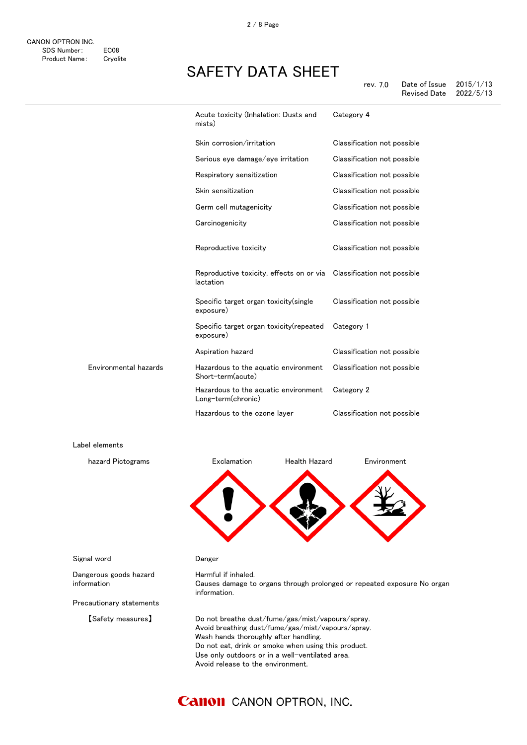| rev. 7.0 | Date of Issue | 2015/1/13 |
|----------|---------------|-----------|
|          | Revised Date  | 2022/5/13 |

|                       | Acute toxicity (Inhalation: Dusts and<br>mists)                                   | Category 4                  |
|-----------------------|-----------------------------------------------------------------------------------|-----------------------------|
|                       | Skin corrosion/irritation                                                         | Classification not possible |
|                       | Serious eye damage/eye irritation                                                 | Classification not possible |
|                       | Respiratory sensitization                                                         | Classification not possible |
|                       | Skin sensitization                                                                | Classification not possible |
|                       | Germ cell mutagenicity                                                            | Classification not possible |
|                       | Carcinogenicity                                                                   | Classification not possible |
|                       | Reproductive toxicity                                                             | Classification not possible |
|                       | Reproductive toxicity, effects on or via Classification not possible<br>lactation |                             |
|                       | Specific target organ toxicity (single<br>exposure)                               | Classification not possible |
|                       | Specific target organ toxicity (repeated<br>exposure)                             | Category 1                  |
|                       | Aspiration hazard                                                                 | Classification not possible |
| Environmental hazards | Hazardous to the aquatic environment<br>Short-term(acute)                         | Classification not possible |
|                       | Hazardous to the aquatic environment<br>Long-term(chronic)                        | Category 2                  |
|                       | Hazardous to the ozone layer                                                      | Classification not possible |

Label elements



Signal word **Danger** 

Dangerous goods hazard information

Precautionary statements

Harmful if inhaled. Causes damage to organs through prolonged or repeated exposure No organ information.

【Safety measures】 Do not breathe dust/fume/gas/mist/vapours/spray. Avoid breathing dust/fume/gas/mist/vapours/spray. Wash hands thoroughly after handling. Do not eat, drink or smoke when using this product. Use only outdoors or in a well-ventilated area. Avoid release to the environment.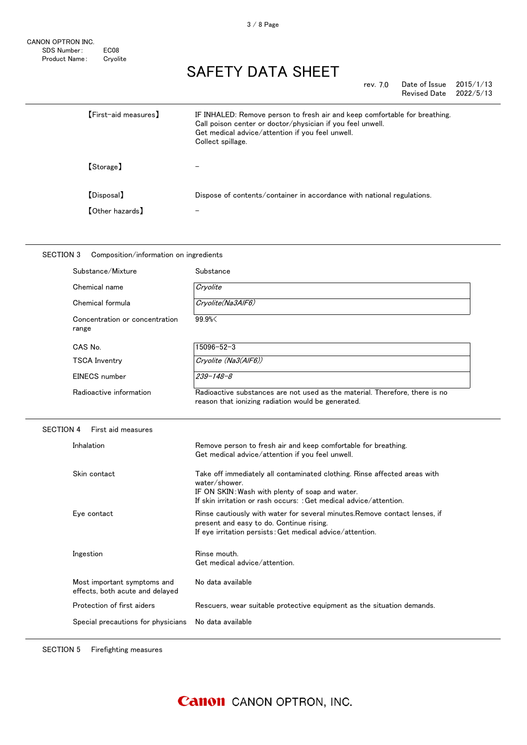| rev. 7.0 | Date of Issue | 2015/1/13 |
|----------|---------------|-----------|
|          | Revised Date  | 2022/5/13 |

| <b>[First-aid measures]</b> | IF INHALED: Remove person to fresh air and keep comfortable for breathing.<br>Call poison center or doctor/physician if you feel unwell.<br>Get medical advice/attention if you feel unwell.<br>Collect spillage. |
|-----------------------------|-------------------------------------------------------------------------------------------------------------------------------------------------------------------------------------------------------------------|
| 【Storage】                   |                                                                                                                                                                                                                   |
| [Disposal]                  | Dispose of contents/container in accordance with national regulations.                                                                                                                                            |
| <b>[Other hazards]</b>      | $\overline{\phantom{m}}$                                                                                                                                                                                          |

| Substance/Mixture                       | Substance                                                                                                                         |
|-----------------------------------------|-----------------------------------------------------------------------------------------------------------------------------------|
| Chemical name                           | Cryolite                                                                                                                          |
| Chemical formula                        | Cryolite(Na3AlF6)                                                                                                                 |
| Concentration or concentration<br>range | 99.9%                                                                                                                             |
| CAS No.                                 | 15096-52-3                                                                                                                        |
| TSCA Inventry                           | Cryolite (Na3(AIF6))                                                                                                              |
| EINECS number                           | 239-148-8                                                                                                                         |
| Radioactive information                 | Radioactive substances are not used as the material. Therefore, there is no<br>reason that ionizing radiation would be generated. |

| Inhalation                                                     | Remove person to fresh air and keep comfortable for breathing.<br>Get medical advice/attention if you feel unwell.                                                                                                 |
|----------------------------------------------------------------|--------------------------------------------------------------------------------------------------------------------------------------------------------------------------------------------------------------------|
| Skin contact                                                   | Take off immediately all contaminated clothing. Rinse affected areas with<br>water/shower<br>IF ON SKIN: Wash with plenty of soap and water.<br>If skin irritation or rash occurs: : Get medical advice/attention. |
| Eye contact                                                    | Rinse cautiously with water for several minutes. Remove contact lenses, if<br>present and easy to do. Continue rising.<br>If eye irritation persists: Get medical advice/attention.                                |
| Ingestion                                                      | Rinse mouth.<br>Get medical advice/attention.                                                                                                                                                                      |
| Most important symptoms and<br>effects, both acute and delayed | No data available                                                                                                                                                                                                  |
| Protection of first aiders                                     | Rescuers, wear suitable protective equipment as the situation demands.                                                                                                                                             |
| Special precautions for physicians                             | No data available                                                                                                                                                                                                  |
|                                                                |                                                                                                                                                                                                                    |

SECTION 5 Firefighting measures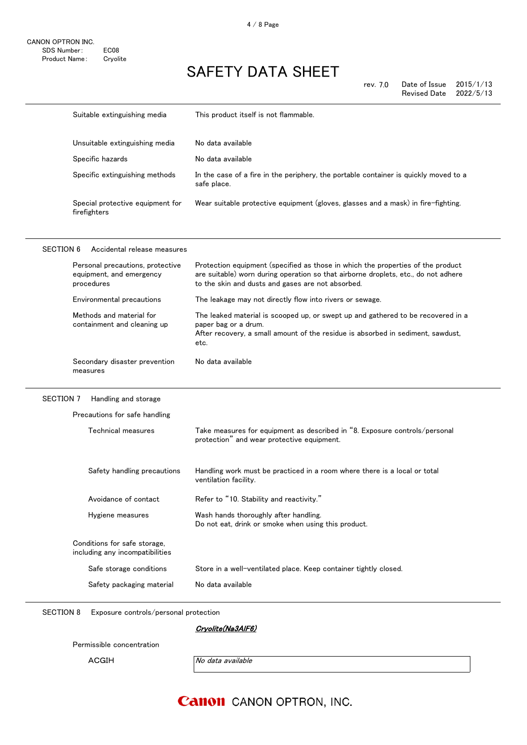|                  | Suitable extinguishing media                                               | This product itself is not flammable.                                                                                                                                                                                      |
|------------------|----------------------------------------------------------------------------|----------------------------------------------------------------------------------------------------------------------------------------------------------------------------------------------------------------------------|
|                  | Unsuitable extinguishing media                                             | No data available                                                                                                                                                                                                          |
|                  | Specific hazards                                                           | No data available                                                                                                                                                                                                          |
|                  | Specific extinguishing methods                                             | In the case of a fire in the periphery, the portable container is quickly moved to a<br>safe place.                                                                                                                        |
|                  | Special protective equipment for<br>firefighters                           | Wear suitable protective equipment (gloves, glasses and a mask) in fire-fighting.                                                                                                                                          |
| <b>SECTION 6</b> | Accidental release measures                                                |                                                                                                                                                                                                                            |
|                  | Personal precautions, protective<br>equipment, and emergency<br>procedures | Protection equipment (specified as those in which the properties of the product<br>are suitable) worn during operation so that airborne droplets, etc., do not adhere<br>to the skin and dusts and gases are not absorbed. |
|                  | Environmental precautions                                                  | The leakage may not directly flow into rivers or sewage.                                                                                                                                                                   |
|                  | Methods and material for<br>containment and cleaning up                    | The leaked material is scooped up, or swept up and gathered to be recovered in a<br>paper bag or a drum.<br>After recovery, a small amount of the residue is absorbed in sediment, sawdust,<br>etc.                        |
|                  | Secondary disaster prevention<br>measures                                  | No data available                                                                                                                                                                                                          |
| SECTION 7        | Handling and storage                                                       |                                                                                                                                                                                                                            |
|                  | Precautions for safe handling                                              |                                                                                                                                                                                                                            |
|                  | Technical measures                                                         | Take measures for equipment as described in "8. Exposure controls/personal<br>protection" and wear protective equipment.                                                                                                   |
|                  | Safety handling precautions                                                | Handling work must be practiced in a room where there is a local or total<br>ventilation facility.                                                                                                                         |
|                  | Avoidance of contact                                                       | Refer to "10. Stability and reactivity.                                                                                                                                                                                    |
|                  | Hygiene measures                                                           | Wash hands thoroughly after handling.<br>Do not eat, drink or smoke when using this product.                                                                                                                               |
|                  | Conditions for safe storage,<br>including any incompatibilities            |                                                                                                                                                                                                                            |
|                  | Safe storage conditions                                                    | Store in a well-ventilated place. Keep container tightly closed.                                                                                                                                                           |
|                  | Safety packaging material                                                  | No data available                                                                                                                                                                                                          |

SECTION 8 Exposure controls/personal protection

Cryolite(Na3AlF6)

Permissible concentration

ACGIH No data available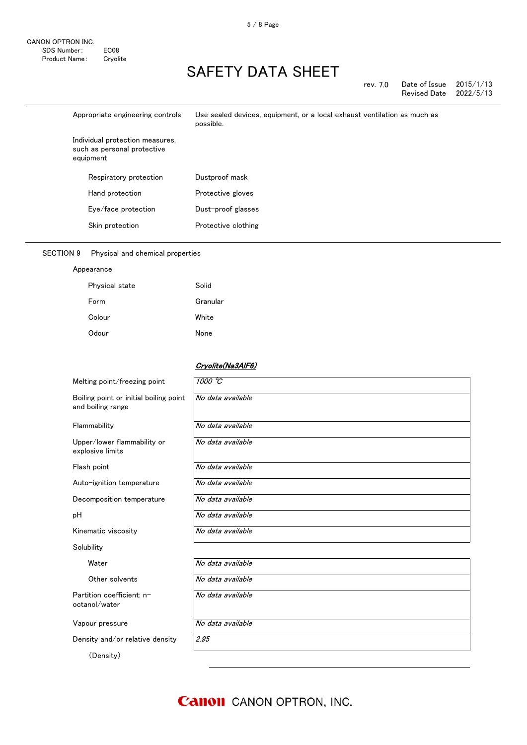| rev. 7.0 | Date of Issue | 2015/1/13 |
|----------|---------------|-----------|
|          | Revised Date  | 2022/5/13 |

| Appropriate engineering controls                                            | Use sealed devices, equipment, or a local exhaust ventilation as much as<br>possible. |
|-----------------------------------------------------------------------------|---------------------------------------------------------------------------------------|
| Individual protection measures,<br>such as personal protective<br>equipment |                                                                                       |
| Respiratory protection                                                      | Dustproof mask                                                                        |
| Hand protection                                                             | Protective gloves                                                                     |
| Eye/face protection                                                         | Dust-proof glasses                                                                    |
| Skin protection                                                             | Protective clothing                                                                   |

#### SECTION 9 Physical and chemical properties

#### Appearance

| Physical state | Solid    |
|----------------|----------|
| Form           | Granular |
| Colour         | White    |
| Odour          | None     |

#### Cryolite(Na3AlF6)

| Melting point/freezing point                                | 1000C             |
|-------------------------------------------------------------|-------------------|
| Boiling point or initial boiling point<br>and boiling range | No data available |
| Flammability                                                | No data available |
| Upper/lower flammability or<br>explosive limits             | No data available |
| Flash point                                                 | No data available |
| Auto-ignition temperature                                   | No data available |
| Decomposition temperature                                   | No data available |
| рH                                                          | No data available |
| Kinematic viscosity                                         | No data available |
| Solubility                                                  |                   |
| Water                                                       | No data available |
| Other solvents                                              | No data available |
| Partition coefficient: n-<br>octanol/water                  | No data available |
| Vapour pressure                                             | No data available |
| Density and/or relative density                             | 2.95              |
| (Density)                                                   |                   |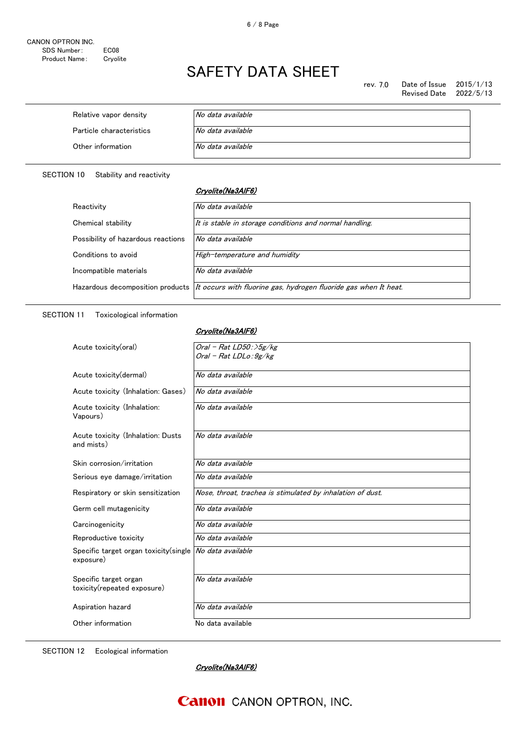rev. 7.0 Date of Issue 2015/1/13 Revised Date

| Relative vapor density   | No data available |
|--------------------------|-------------------|
| Particle characteristics | No data available |
| Other information        | No data available |

SECTION 10 Stability and reactivity

#### Cryolite(Na3AlF6)

| Reactivity                         | No data available                                                                                 |
|------------------------------------|---------------------------------------------------------------------------------------------------|
| Chemical stability                 | It is stable in storage conditions and normal handling.                                           |
| Possibility of hazardous reactions | No data available                                                                                 |
| Conditions to avoid                | High-temperature and humidity                                                                     |
| Incompatible materials             | No data available                                                                                 |
|                                    | Hazardous decomposition products It occurs with fluorine gas, hydrogen fluoride gas when It heat. |

#### SECTION 11 Toxicological information

#### Cryolite(Na3AlF6)

| Acute toxicity(oral)                                 | Oral - Rat $LD50$ : $5g/kg$<br>Oral - Rat LDLo: 9g/kg      |
|------------------------------------------------------|------------------------------------------------------------|
| Acute toxicity (dermal)                              | No data available                                          |
| Acute toxicity (Inhalation: Gases)                   | No data available                                          |
| Acute toxicity (Inhalation:<br>Vapours)              | No data available                                          |
| Acute toxicity (Inhalation: Dusts<br>and mists)      | No data available                                          |
| Skin corrosion/irritation                            | No data available                                          |
| Serious eye damage/irritation                        | No data available                                          |
| Respiratory or skin sensitization                    | Nose, throat, trachea is stimulated by inhalation of dust. |
| Germ cell mutagenicity                               | No data available                                          |
| Carcinogenicity                                      | No data available                                          |
| Reproductive toxicity                                | No data available                                          |
| Specific target organ toxicity(single<br>exposure)   | No data available                                          |
| Specific target organ<br>toxicity(repeated exposure) | No data available                                          |
|                                                      |                                                            |
| Aspiration hazard                                    | No data available                                          |

SECTION 12 Ecological information

Cryolite(Na3AlF6)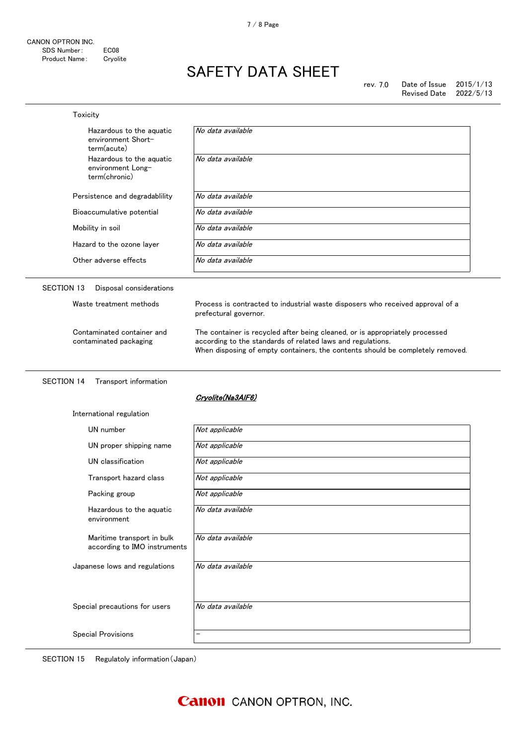| Toxicity                                                       |                                                                                                                                                                                                                               |  |
|----------------------------------------------------------------|-------------------------------------------------------------------------------------------------------------------------------------------------------------------------------------------------------------------------------|--|
| Hazardous to the aquatic<br>environment Short-<br>term(acute)  | No data available                                                                                                                                                                                                             |  |
| Hazardous to the aquatic<br>environment Long-<br>term(chronic) | No data available                                                                                                                                                                                                             |  |
| Persistence and degradability                                  | No data available                                                                                                                                                                                                             |  |
| Bioaccumulative potential                                      | No data available                                                                                                                                                                                                             |  |
| Mobility in soil                                               | No data available                                                                                                                                                                                                             |  |
| Hazard to the ozone layer                                      | No data available                                                                                                                                                                                                             |  |
| Other adverse effects                                          | No data available                                                                                                                                                                                                             |  |
| <b>SECTION 13</b><br>Disposal considerations                   |                                                                                                                                                                                                                               |  |
| Waste treatment methods                                        | Process is contracted to industrial waste disposers who received approval of a<br>prefectural governor.                                                                                                                       |  |
| Contaminated container and<br>contaminated packaging           | The container is recycled after being cleaned, or is appropriately processed<br>according to the standards of related laws and regulations.<br>When disposing of empty containers, the contents should be completely removed. |  |
|                                                                |                                                                                                                                                                                                                               |  |
| <b>SECTION 14</b><br>Transport information                     |                                                                                                                                                                                                                               |  |
|                                                                | Cryolite(Na3AIF6)                                                                                                                                                                                                             |  |
| International regulation                                       |                                                                                                                                                                                                                               |  |
| UN number                                                      | Not applicable                                                                                                                                                                                                                |  |
| UN proper shipping name                                        | Not applicable                                                                                                                                                                                                                |  |
| UN classification                                              | Not applicable                                                                                                                                                                                                                |  |
| Transport hazard class                                         | Not applicable                                                                                                                                                                                                                |  |
| Packing group                                                  | Not applicable                                                                                                                                                                                                                |  |
| Hazardous to the aquatic<br>environment                        | No data available                                                                                                                                                                                                             |  |
| Maritime transport in bulk<br>according to IMO instruments     | No data available                                                                                                                                                                                                             |  |
| Japanese lows and regulations                                  | No data available                                                                                                                                                                                                             |  |
| Special precautions for users                                  | No data available                                                                                                                                                                                                             |  |

SECTION 15 Regulatoly information(Japan)